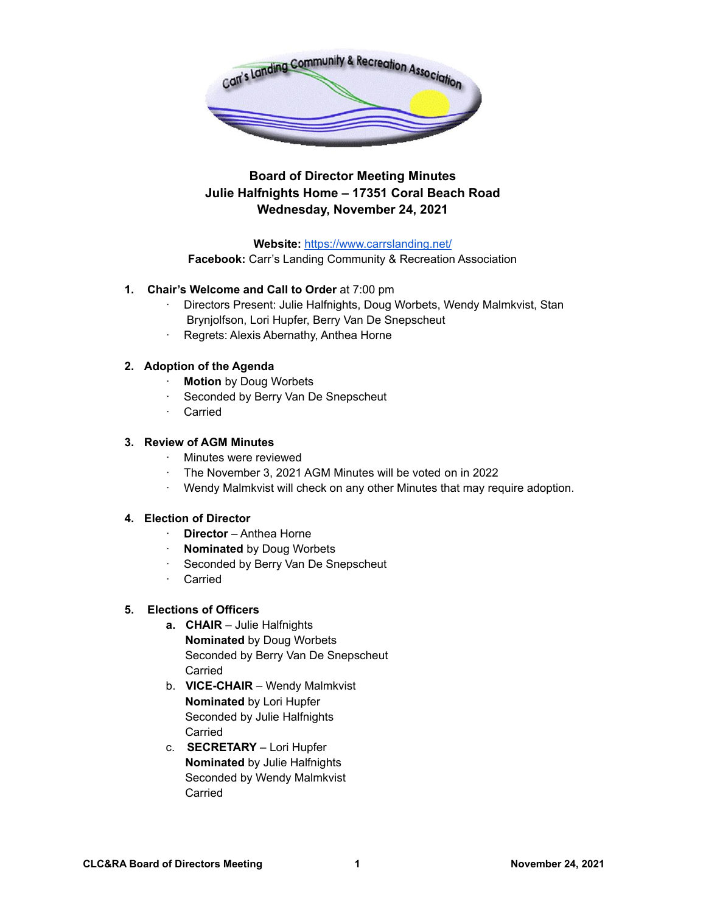

# **Board of Director Meeting Minutes Julie Halfnights Home – 17351 Coral Beach Road Wednesday, November 24, 2021**

**Website:** <https://www.carrslanding.net/>

**Facebook:** Carr's Landing Community & Recreation Association

- **1. Chair's Welcome and Call to Order** at 7:00 pm
	- · Directors Present: Julie Halfnights, Doug Worbets, Wendy Malmkvist, Stan Brynjolfson, Lori Hupfer, Berry Van De Snepscheut
	- Regrets: Alexis Abernathy, Anthea Horne

# **2. Adoption of the Agenda**

- · **Motion** by Doug Worbets
- · Seconded by Berry Van De Snepscheut
- · Carried

## **3. Review of AGM Minutes**

- · Minutes were reviewed
- · The November 3, 2021 AGM Minutes will be voted on in 2022
- Wendy Malmkvist will check on any other Minutes that may require adoption.

## **4. Election of Director**

- · **Director** Anthea Horne
- · **Nominated** by Doug Worbets
- · Seconded by Berry Van De Snepscheut
- · Carried

## **5. Elections of Officers**

- **a. CHAIR** Julie Halfnights **Nominated** by Doug Worbets Seconded by Berry Van De Snepscheut Carried
- b. **VICE-CHAIR** Wendy Malmkvist **Nominated** by Lori Hupfer Seconded by Julie Halfnights **Carried**
- c. **SECRETARY** Lori Hupfer **Nominated** by Julie Halfnights Seconded by Wendy Malmkvist Carried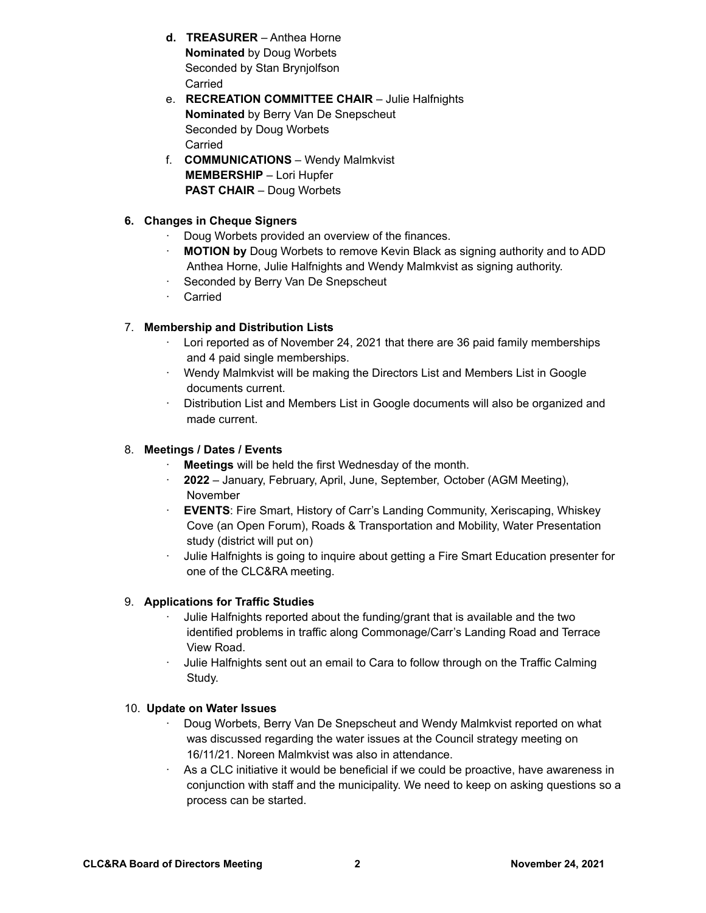- **d. TREASURER** Anthea Horne **Nominated** by Doug Worbets Seconded by Stan Brynjolfson Carried
- e. **RECREATION COMMITTEE CHAIR** Julie Halfnights **Nominated** by Berry Van De Snepscheut Seconded by Doug Worbets Carried
- f. **COMMUNICATIONS** Wendy Malmkvist **MEMBERSHIP** – Lori Hupfer **PAST CHAIR** – Doug Worbets

# **6. Changes in Cheque Signers**

- · Doug Worbets provided an overview of the finances.
- · **MOTION by** Doug Worbets to remove Kevin Black as signing authority and to ADD Anthea Horne, Julie Halfnights and Wendy Malmkvist as signing authority.
- · Seconded by Berry Van De Snepscheut
- · Carried

# 7. **Membership and Distribution Lists**

- · Lori reported as of November 24, 2021 that there are 36 paid family memberships and 4 paid single memberships.
- · Wendy Malmkvist will be making the Directors List and Members List in Google documents current.
- · Distribution List and Members List in Google documents will also be organized and made current.

## 8. **Meetings / Dates / Events**

- · **Meetings** will be held the first Wednesday of the month.
- · **2022** January, February, April, June, September, October (AGM Meeting), November
- **EVENTS:** Fire Smart, History of Carr's Landing Community, Xeriscaping, Whiskey Cove (an Open Forum), Roads & Transportation and Mobility, Water Presentation study (district will put on)
- · Julie Halfnights is going to inquire about getting a Fire Smart Education presenter for one of the CLC&RA meeting.

## 9. **Applications for Traffic Studies**

- Julie Halfnights reported about the funding/grant that is available and the two identified problems in traffic along Commonage/Carr's Landing Road and Terrace View Road.
- · Julie Halfnights sent out an email to Cara to follow through on the Traffic Calming Study.

## 10. **Update on Water Issues**

- · Doug Worbets, Berry Van De Snepscheut and Wendy Malmkvist reported on what was discussed regarding the water issues at the Council strategy meeting on 16/11/21. Noreen Malmkvist was also in attendance.
- As a CLC initiative it would be beneficial if we could be proactive, have awareness in conjunction with staff and the municipality. We need to keep on asking questions so a process can be started.